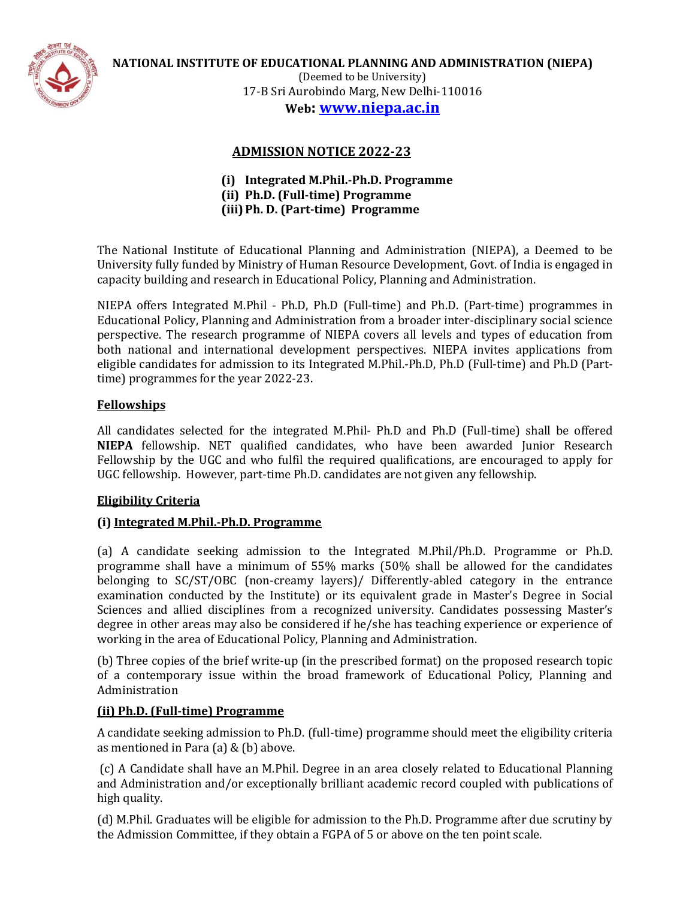

**NATIONAL INSTITUTE OF EDUCATIONAL PLANNING AND ADMINISTRATION (NIEPA)**

(Deemed to be University) 17-B Sri Aurobindo Marg, New Delhi-110016 **Web: [www.niepa.ac.in](http://www.niepa.ac.in/)**

# **ADMISSION NOTICE 2022-23**

- **(i) Integrated M.Phil.-Ph.D. Programme (ii) Ph.D. (Full-time) Programme**
- **(iii)Ph. D. (Part-time) Programme**

The National Institute of Educational Planning and Administration (NIEPA), a Deemed to be University fully funded by Ministry of Human Resource Development, Govt. of India is engaged in capacity building and research in Educational Policy, Planning and Administration.

NIEPA offers Integrated M.Phil - Ph.D, Ph.D (Full-time) and Ph.D. (Part-time) programmes in Educational Policy, Planning and Administration from a broader inter-disciplinary social science perspective. The research programme of NIEPA covers all levels and types of education from both national and international development perspectives. NIEPA invites applications from eligible candidates for admission to its Integrated M.Phil.-Ph.D, Ph.D (Full-time) and Ph.D (Parttime) programmes for the year 2022-23.

# **Fellowships**

All candidates selected for the integrated M.Phil- Ph.D and Ph.D (Full-time) shall be offered **NIEPA** fellowship. NET qualified candidates, who have been awarded Junior Research Fellowship by the UGC and who fulfil the required qualifications, are encouraged to apply for UGC fellowship. However, part-time Ph.D. candidates are not given any fellowship.

# **Eligibility Criteria**

# **(i) Integrated M.Phil.-Ph.D. Programme**

(a) A candidate seeking admission to the Integrated M.Phil/Ph.D. Programme or Ph.D. programme shall have a minimum of 55% marks (50% shall be allowed for the candidates belonging to SC/ST/OBC (non-creamy layers)/ Differently-abled category in the entrance examination conducted by the Institute) or its equivalent grade in Master's Degree in Social Sciences and allied disciplines from a recognized university. Candidates possessing Master's degree in other areas may also be considered if he/she has teaching experience or experience of working in the area of Educational Policy, Planning and Administration.

(b) Three copies of the brief write-up (in the prescribed format) on the proposed research topic of a contemporary issue within the broad framework of Educational Policy, Planning and Administration

# **(ii) Ph.D. (Full-time) Programme**

A candidate seeking admission to Ph.D. (full-time) programme should meet the eligibility criteria as mentioned in Para (a) & (b) above.

(c) A Candidate shall have an M.Phil. Degree in an area closely related to Educational Planning and Administration and/or exceptionally brilliant academic record coupled with publications of high quality.

(d) M.Phil. Graduates will be eligible for admission to the Ph.D. Programme after due scrutiny by the Admission Committee, if they obtain a FGPA of 5 or above on the ten point scale.